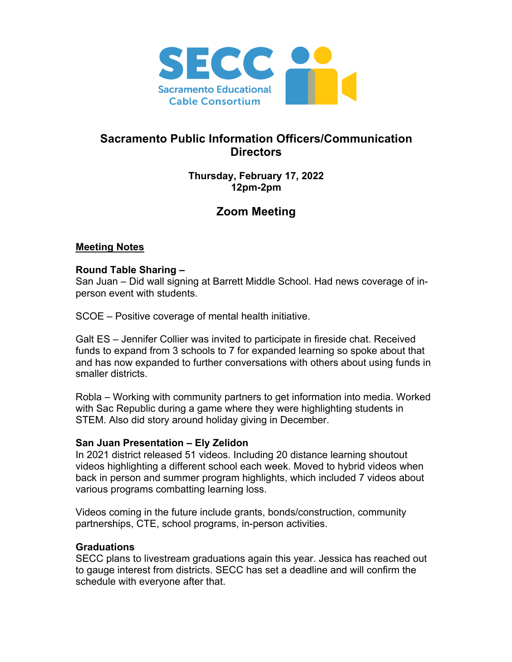

## **Sacramento Public Information Officers/Communication Directors**

## **Thursday, February 17, 2022 12pm-2pm**

# **Zoom Meeting**

## **Meeting Notes**

#### **Round Table Sharing –**

San Juan – Did wall signing at Barrett Middle School. Had news coverage of inperson event with students.

SCOE – Positive coverage of mental health initiative.

Galt ES – Jennifer Collier was invited to participate in fireside chat. Received funds to expand from 3 schools to 7 for expanded learning so spoke about that and has now expanded to further conversations with others about using funds in smaller districts.

Robla – Working with community partners to get information into media. Worked with Sac Republic during a game where they were highlighting students in STEM. Also did story around holiday giving in December.

#### **San Juan Presentation – Ely Zelidon**

In 2021 district released 51 videos. Including 20 distance learning shoutout videos highlighting a different school each week. Moved to hybrid videos when back in person and summer program highlights, which included 7 videos about various programs combatting learning loss.

Videos coming in the future include grants, bonds/construction, community partnerships, CTE, school programs, in-person activities.

#### **Graduations**

SECC plans to livestream graduations again this year. Jessica has reached out to gauge interest from districts. SECC has set a deadline and will confirm the schedule with everyone after that.